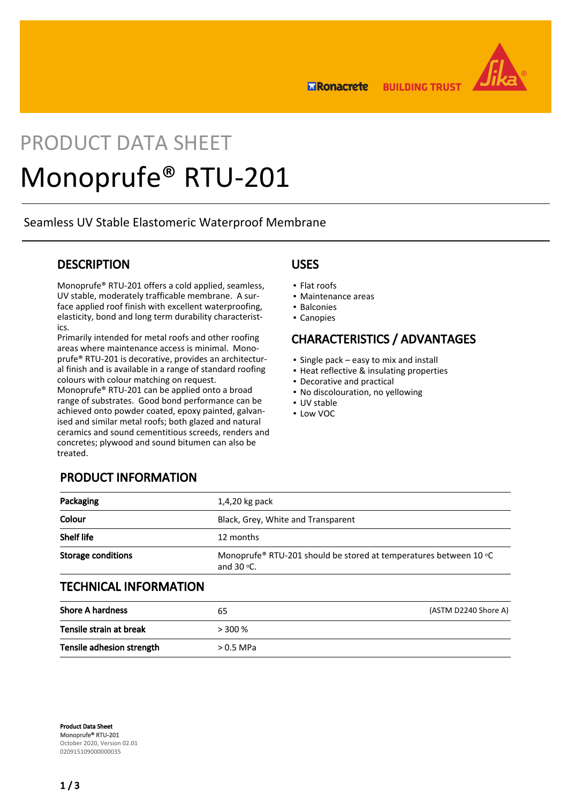**ERonacrete BUILDING TRUST** 



# PRODUCT DATA SHEET Monoprufe® RTU-201

Seamless UV Stable Elastomeric Waterproof Membrane

## **DESCRIPTION**

Monoprufe® RTU-201 offers a cold applied, seamless, UV stable, moderately trafficable membrane. A surface applied roof finish with excellent waterproofing, elasticity, bond and long term durability characteristics.

Primarily intended for metal roofs and other roofing areas where maintenance access is minimal. Monoprufe® RTU-201 is decorative, provides an architectural finish and is available in a range of standard roofing colours with colour matching on request.

Monoprufe® RTU-201 can be applied onto a broad range of substrates. Good bond performance can be achieved onto powder coated, epoxy painted, galvanised and similar metal roofs; both glazed and natural ceramics and sound cementitious screeds, renders and concretes; plywood and sound bitumen can also be treated.

## USES

- Flat roofs
- Maintenance areas
- Balconies
- Canopies

## CHARACTERISTICS / ADVANTAGES

- Single pack easy to mix and install
- **.** Heat reflective & insulating properties
- Decorative and practical
- No discolouration, no yellowing
- UV stable
- Low VOC

| <b>PRODUCT INFORMATION</b> |
|----------------------------|
|----------------------------|

| Packaging                    | $1,4,20$ kg pack                                                                           |  |  |
|------------------------------|--------------------------------------------------------------------------------------------|--|--|
| Colour                       | Black, Grey, White and Transparent                                                         |  |  |
| <b>Shelf life</b>            | 12 months                                                                                  |  |  |
| <b>Storage conditions</b>    | Monoprufe® RTU-201 should be stored at temperatures between 10 °C<br>and $30$ $\degree$ C. |  |  |
| <b>TECHNICAL INFORMATION</b> |                                                                                            |  |  |
| <b>Shore A hardness</b>      | (ASTM D2240 Shore A)<br>65                                                                 |  |  |

| _ _ . _                   | ັບ          | $1.5111$ been to strong the $1.7$ |
|---------------------------|-------------|-----------------------------------|
| Tensile strain at break   | $> 300\%$   |                                   |
| Tensile adhesion strength | $> 0.5$ MPa |                                   |

Product Data Sheet Monoprufe® RTU-201 October 2020, Version 02.01 020915109000000035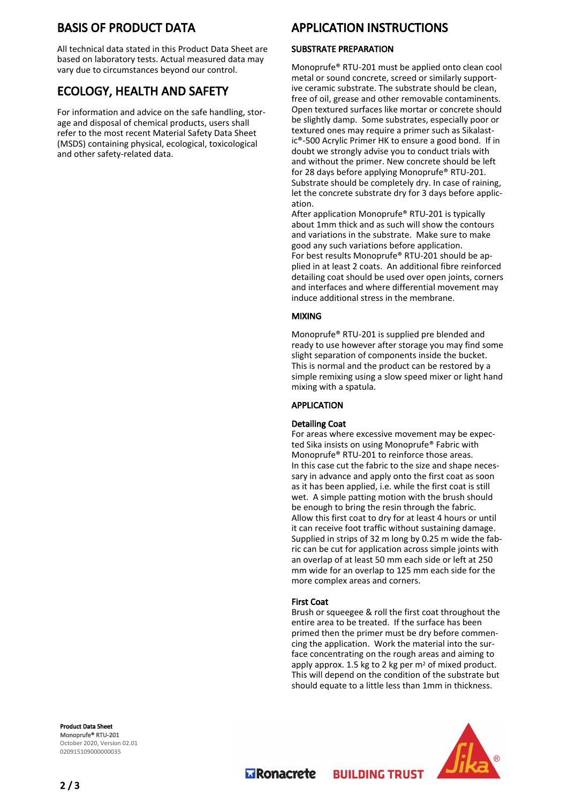## BASIS OF PRODUCT DATA

All technical data stated in this Product Data Sheet are based on laboratory tests. Actual measured data may vary due to circumstances beyond our control.

## ECOLOGY, HEALTH AND SAFETY

For information and advice on the safe handling, storage and disposal of chemical products, users shall refer to the most recent Material Safety Data Sheet (MSDS) containing physical, ecological, toxicological and other safety-related data.

## APPLICATION INSTRUCTIONS

### SUBSTRATE PREPARATION

Monoprufe® RTU-201 must be applied onto clean cool metal or sound concrete, screed or similarly supportive ceramic substrate. The substrate should be clean, free of oil, grease and other removable contaminents. Open textured surfaces like mortar or concrete should be slightly damp. Some substrates, especially poor or textured ones may require a primer such as Sikalastic®-500 Acrylic Primer HK to ensure a good bond. If in doubt we strongly advise you to conduct trials with and without the primer. New concrete should be left for 28 days before applying Monoprufe® RTU-201. Substrate should be completely dry. In case of raining, let the concrete substrate dry for 3 days before application.

After application Monoprufe® RTU-201 is typically about 1mm thick and as such will show the contours and variations in the substrate. Make sure to make good any such variations before application. For best results Monoprufe® RTU-201 should be applied in at least 2 coats. An additional fibre reinforced detailing coat should be used over open joints, corners and interfaces and where differential movement may induce additional stress in the membrane.

#### MIXING

Monoprufe® RTU-201 is supplied pre blended and ready to use however after storage you may find some slight separation of components inside the bucket. This is normal and the product can be restored by a simple remixing using a slow speed mixer or light hand mixing with a spatula.

#### APPLICATION

#### Detailing Coat

For areas where excessive movement may be expected Sika insists on using Monoprufe® Fabric with Monoprufe® RTU-201 to reinforce those areas. In this case cut the fabric to the size and shape necessary in advance and apply onto the first coat as soon as it has been applied, i.e. while the first coat is still wet. A simple patting motion with the brush should be enough to bring the resin through the fabric. Allow this first coat to dry for at least 4 hours or until it can receive foot traffic without sustaining damage. Supplied in strips of 32 m long by 0.25 m wide the fabric can be cut for application across simple joints with an overlap of at least 50 mm each side or left at 250 mm wide for an overlap to 125 mm each side for the more complex areas and corners.

#### First Coat

Brush or squeegee & roll the first coat throughout the entire area to be treated. If the surface has been primed then the primer must be dry before commencing the application. Work the material into the surface concentrating on the rough areas and aiming to apply approx. 1.5 kg to 2 kg per m2 of mixed product. This will depend on the condition of the substrate but should equate to a little less than 1mm in thickness.

**BUILDING TRUST** 

Product Data Sheet Monoprufe® RTU-201 October 2020, Version 02.01 020915109000000035



**Transporter**